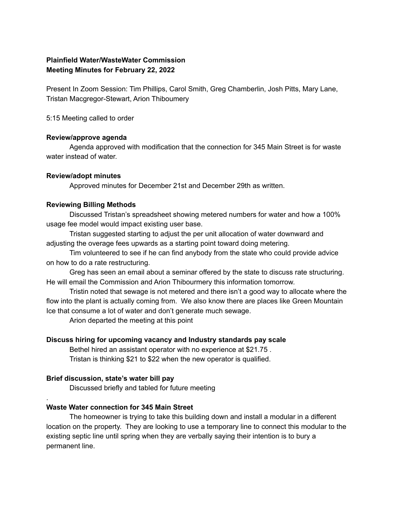# **Plainfield Water/WasteWater Commission Meeting Minutes for February 22, 2022**

Present In Zoom Session: Tim Phillips, Carol Smith, Greg Chamberlin, Josh Pitts, Mary Lane, Tristan Macgregor-Stewart, Arion Thiboumery

5:15 Meeting called to order

#### **Review/approve agenda**

Agenda approved with modification that the connection for 345 Main Street is for waste water instead of water.

#### **Review/adopt minutes**

Approved minutes for December 21st and December 29th as written.

#### **Reviewing Billing Methods**

Discussed Tristan's spreadsheet showing metered numbers for water and how a 100% usage fee model would impact existing user base.

Tristan suggested starting to adjust the per unit allocation of water downward and adjusting the overage fees upwards as a starting point toward doing metering.

Tim volunteered to see if he can find anybody from the state who could provide advice on how to do a rate restructuring.

Greg has seen an email about a seminar offered by the state to discuss rate structuring. He will email the Commission and Arion Thibourmery this information tomorrow.

Tristin noted that sewage is not metered and there isn't a good way to allocate where the flow into the plant is actually coming from. We also know there are places like Green Mountain Ice that consume a lot of water and don't generate much sewage.

Arion departed the meeting at this point

## **Discuss hiring for upcoming vacancy and Industry standards pay scale**

Bethel hired an assistant operator with no experience at \$21.75 . Tristan is thinking \$21 to \$22 when the new operator is qualified.

## **Brief discussion, state's water bill pay**

.

Discussed briefly and tabled for future meeting

# **Waste Water connection for 345 Main Street**

The homeowner is trying to take this building down and install a modular in a different location on the property. They are looking to use a temporary line to connect this modular to the existing septic line until spring when they are verbally saying their intention is to bury a permanent line.